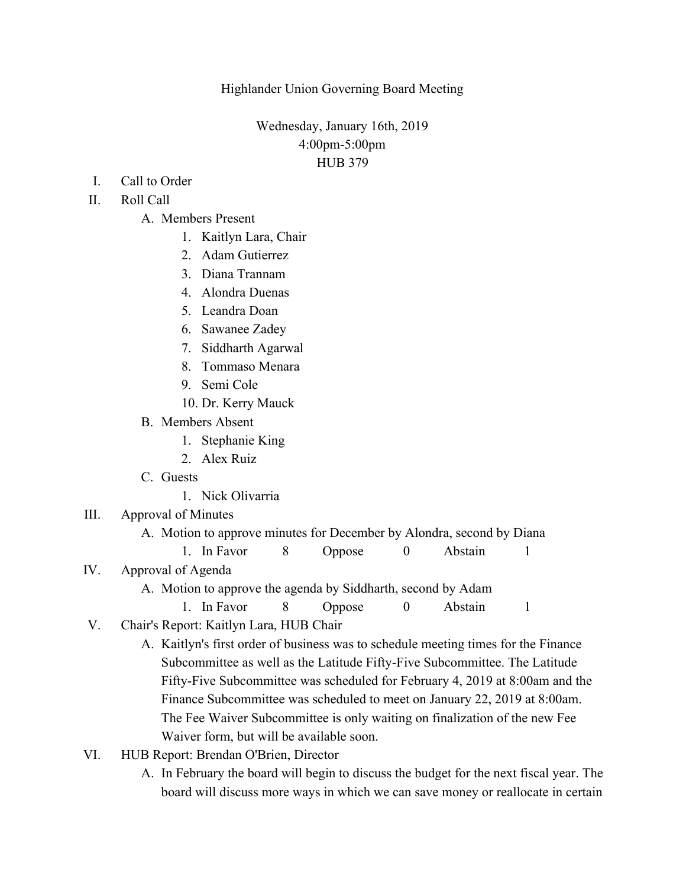Highlander Union Governing Board Meeting

Wednesday, January 16th, 2019 4:00pm-5:00pm HUB 379

I. Call to Order

## II. Roll Call

- A. Members Present
	- 1. Kaitlyn Lara, Chair
	- 2. Adam Gutierrez
	- 3. Diana Trannam
	- 4. Alondra Duenas
	- 5. Leandra Doan
	- 6. Sawanee Zadey
	- 7. Siddharth Agarwal
	- 8. Tommaso Menara
	- 9. Semi Cole
	- 10. Dr. Kerry Mauck
- B. Members Absent
	- 1. Stephanie King
	- 2. Alex Ruiz
- C. Guests
	- 1. Nick Olivarria
- III. Approval of Minutes
	- A. Motion to approve minutes for December by Alondra, second by Diana
		- 1. In Favor 8 Oppose 0 Abstain 1
- IV. Approval of Agenda
	- A. Motion to approve the agenda by Siddharth, second by Adam
		- 1. In Favor 8 Oppose 0 Abstain 1
- V. Chair's Report: Kaitlyn Lara, HUB Chair
	- A. Kaitlyn's first order of business was to schedule meeting times for the Finance Subcommittee as well as the Latitude Fifty-Five Subcommittee. The Latitude Fifty-Five Subcommittee was scheduled for February 4, 2019 at 8:00am and the Finance Subcommittee was scheduled to meet on January 22, 2019 at 8:00am. The Fee Waiver Subcommittee is only waiting on finalization of the new Fee Waiver form, but will be available soon.
- VI. HUB Report: Brendan O'Brien, Director
	- A. In February the board will begin to discuss the budget for the next fiscal year. The board will discuss more ways in which we can save money or reallocate in certain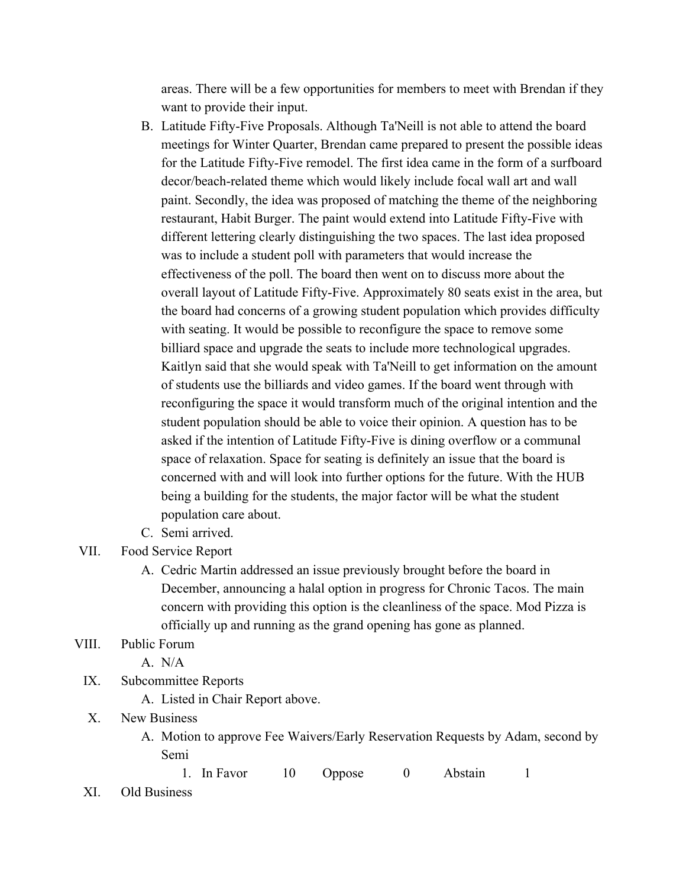areas. There will be a few opportunities for members to meet with Brendan if they want to provide their input.

- B. Latitude Fifty-Five Proposals. Although Ta'Neill is not able to attend the board meetings for Winter Quarter, Brendan came prepared to present the possible ideas for the Latitude Fifty-Five remodel. The first idea came in the form of a surfboard decor/beach-related theme which would likely include focal wall art and wall paint. Secondly, the idea was proposed of matching the theme of the neighboring restaurant, Habit Burger. The paint would extend into Latitude Fifty-Five with different lettering clearly distinguishing the two spaces. The last idea proposed was to include a student poll with parameters that would increase the effectiveness of the poll. The board then went on to discuss more about the overall layout of Latitude Fifty-Five. Approximately 80 seats exist in the area, but the board had concerns of a growing student population which provides difficulty with seating. It would be possible to reconfigure the space to remove some billiard space and upgrade the seats to include more technological upgrades. Kaitlyn said that she would speak with Ta'Neill to get information on the amount of students use the billiards and video games. If the board went through with reconfiguring the space it would transform much of the original intention and the student population should be able to voice their opinion. A question has to be asked if the intention of Latitude Fifty-Five is dining overflow or a communal space of relaxation. Space for seating is definitely an issue that the board is concerned with and will look into further options for the future. With the HUB being a building for the students, the major factor will be what the student population care about.
- C. Semi arrived.
- VII. Food Service Report
	- A. Cedric Martin addressed an issue previously brought before the board in December, announcing a halal option in progress for Chronic Tacos. The main concern with providing this option is the cleanliness of the space. Mod Pizza is officially up and running as the grand opening has gone as planned.

## VIII. Public Forum

A. N/A

- IX. Subcommittee Reports
	- A. Listed in Chair Report above.
- X. New Business
	- A. Motion to approve Fee Waivers/Early Reservation Requests by Adam, second by Semi
		- 1. In Favor 10 Oppose 0 Abstain 1
- XI. Old Business